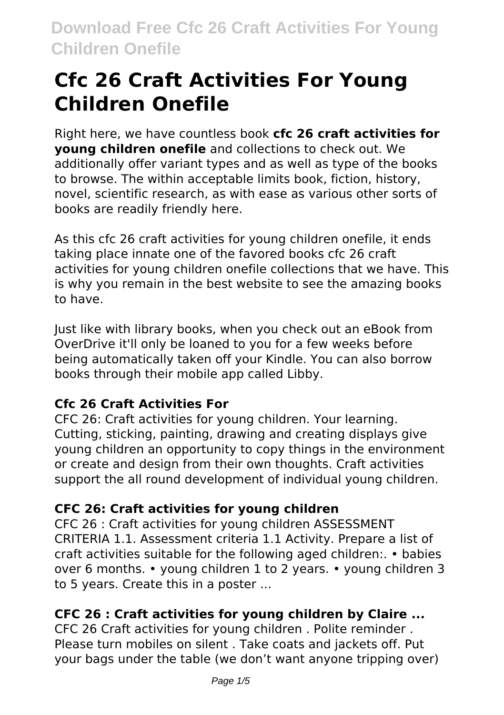# **Cfc 26 Craft Activities For Young Children Onefile**

Right here, we have countless book **cfc 26 craft activities for young children onefile** and collections to check out. We additionally offer variant types and as well as type of the books to browse. The within acceptable limits book, fiction, history, novel, scientific research, as with ease as various other sorts of books are readily friendly here.

As this cfc 26 craft activities for young children onefile, it ends taking place innate one of the favored books cfc 26 craft activities for young children onefile collections that we have. This is why you remain in the best website to see the amazing books to have.

Just like with library books, when you check out an eBook from OverDrive it'll only be loaned to you for a few weeks before being automatically taken off your Kindle. You can also borrow books through their mobile app called Libby.

### **Cfc 26 Craft Activities For**

CFC 26: Craft activities for young children. Your learning. Cutting, sticking, painting, drawing and creating displays give young children an opportunity to copy things in the environment or create and design from their own thoughts. Craft activities support the all round development of individual young children.

### **CFC 26: Craft activities for young children**

CFC 26 : Craft activities for young children ASSESSMENT CRITERIA 1.1. Assessment criteria 1.1 Activity. Prepare a list of craft activities suitable for the following aged children:. • babies over 6 months. • young children 1 to 2 years. • young children 3 to 5 years. Create this in a poster ...

### **CFC 26 : Craft activities for young children by Claire ...**

CFC 26 Craft activities for young children . Polite reminder . Please turn mobiles on silent . Take coats and jackets off. Put your bags under the table (we don't want anyone tripping over)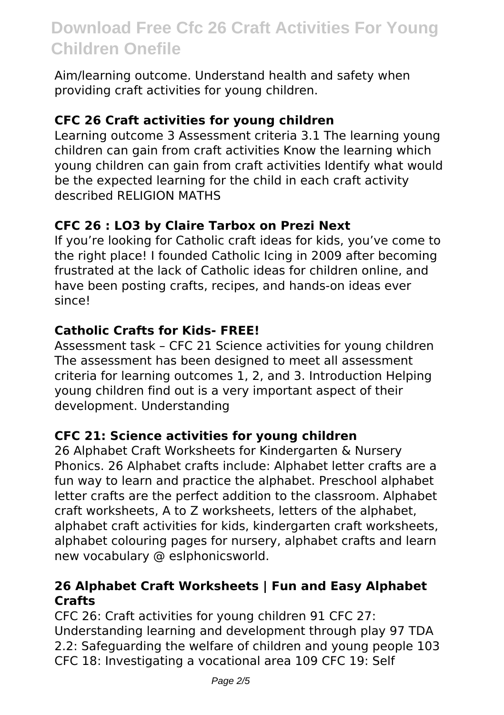Aim/learning outcome. Understand health and safety when providing craft activities for young children.

#### **CFC 26 Craft activities for young children**

Learning outcome 3 Assessment criteria 3.1 The learning young children can gain from craft activities Know the learning which young children can gain from craft activities Identify what would be the expected learning for the child in each craft activity described RELIGION MATHS

#### **CFC 26 : LO3 by Claire Tarbox on Prezi Next**

If you're looking for Catholic craft ideas for kids, you've come to the right place! I founded Catholic Icing in 2009 after becoming frustrated at the lack of Catholic ideas for children online, and have been posting crafts, recipes, and hands-on ideas ever since!

#### **Catholic Crafts for Kids- FREE!**

Assessment task – CFC 21 Science activities for young children The assessment has been designed to meet all assessment criteria for learning outcomes 1, 2, and 3. Introduction Helping young children find out is a very important aspect of their development. Understanding

#### **CFC 21: Science activities for young children**

26 Alphabet Craft Worksheets for Kindergarten & Nursery Phonics. 26 Alphabet crafts include: Alphabet letter crafts are a fun way to learn and practice the alphabet. Preschool alphabet letter crafts are the perfect addition to the classroom. Alphabet craft worksheets, A to Z worksheets, letters of the alphabet, alphabet craft activities for kids, kindergarten craft worksheets, alphabet colouring pages for nursery, alphabet crafts and learn new vocabulary @ eslphonicsworld.

#### **26 Alphabet Craft Worksheets | Fun and Easy Alphabet Crafts**

CFC 26: Craft activities for young children 91 CFC 27: Understanding learning and development through play 97 TDA 2.2: Safeguarding the welfare of children and young people 103 CFC 18: Investigating a vocational area 109 CFC 19: Self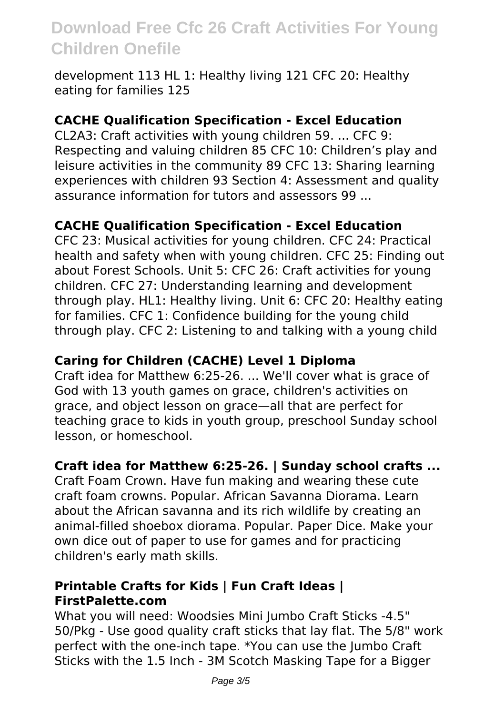development 113 HL 1: Healthy living 121 CFC 20: Healthy eating for families 125

#### **CACHE Qualification Specification - Excel Education**

CL2A3: Craft activities with young children 59. ... CFC 9: Respecting and valuing children 85 CFC 10: Children's play and leisure activities in the community 89 CFC 13: Sharing learning experiences with children 93 Section 4: Assessment and quality assurance information for tutors and assessors 99 ...

#### **CACHE Qualification Specification - Excel Education**

CFC 23: Musical activities for young children. CFC 24: Practical health and safety when with young children. CFC 25: Finding out about Forest Schools. Unit 5: CFC 26: Craft activities for young children. CFC 27: Understanding learning and development through play. HL1: Healthy living. Unit 6: CFC 20: Healthy eating for families. CFC 1: Confidence building for the young child through play. CFC 2: Listening to and talking with a young child

#### **Caring for Children (CACHE) Level 1 Diploma**

Craft idea for Matthew 6:25-26. ... We'll cover what is grace of God with 13 youth games on grace, children's activities on grace, and object lesson on grace—all that are perfect for teaching grace to kids in youth group, preschool Sunday school lesson, or homeschool.

#### **Craft idea for Matthew 6:25-26. | Sunday school crafts ...**

Craft Foam Crown. Have fun making and wearing these cute craft foam crowns. Popular. African Savanna Diorama. Learn about the African savanna and its rich wildlife by creating an animal-filled shoebox diorama. Popular. Paper Dice. Make your own dice out of paper to use for games and for practicing children's early math skills.

#### **Printable Crafts for Kids | Fun Craft Ideas | FirstPalette.com**

What you will need: Woodsies Mini Jumbo Craft Sticks -4.5" 50/Pkg - Use good quality craft sticks that lay flat. The 5/8" work perfect with the one-inch tape. \*You can use the Jumbo Craft Sticks with the 1.5 Inch - 3M Scotch Masking Tape for a Bigger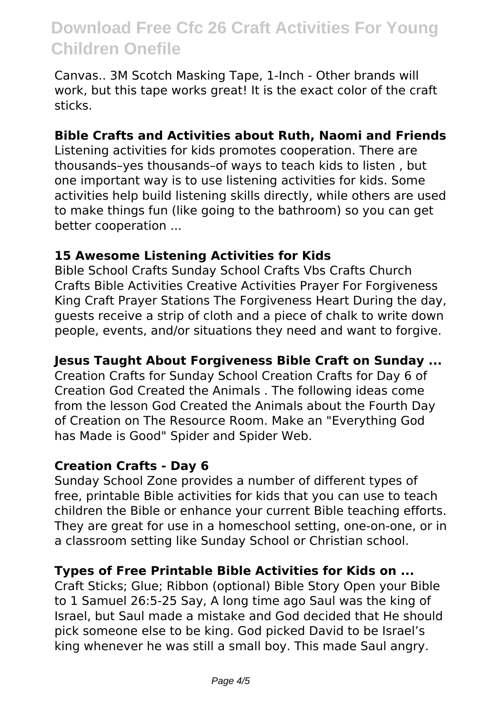Canvas.. 3M Scotch Masking Tape, 1-Inch - Other brands will work, but this tape works great! It is the exact color of the craft sticks.

#### **Bible Crafts and Activities about Ruth, Naomi and Friends**

Listening activities for kids promotes cooperation. There are thousands–yes thousands–of ways to teach kids to listen , but one important way is to use listening activities for kids. Some activities help build listening skills directly, while others are used to make things fun (like going to the bathroom) so you can get better cooperation ...

#### **15 Awesome Listening Activities for Kids**

Bible School Crafts Sunday School Crafts Vbs Crafts Church Crafts Bible Activities Creative Activities Prayer For Forgiveness King Craft Prayer Stations The Forgiveness Heart During the day, guests receive a strip of cloth and a piece of chalk to write down people, events, and/or situations they need and want to forgive.

#### **Jesus Taught About Forgiveness Bible Craft on Sunday ...**

Creation Crafts for Sunday School Creation Crafts for Day 6 of Creation God Created the Animals . The following ideas come from the lesson God Created the Animals about the Fourth Day of Creation on The Resource Room. Make an "Everything God has Made is Good" Spider and Spider Web.

#### **Creation Crafts - Day 6**

Sunday School Zone provides a number of different types of free, printable Bible activities for kids that you can use to teach children the Bible or enhance your current Bible teaching efforts. They are great for use in a homeschool setting, one-on-one, or in a classroom setting like Sunday School or Christian school.

#### **Types of Free Printable Bible Activities for Kids on ...**

Craft Sticks; Glue; Ribbon (optional) Bible Story Open your Bible to 1 Samuel 26:5-25 Say, A long time ago Saul was the king of Israel, but Saul made a mistake and God decided that He should pick someone else to be king. God picked David to be Israel's king whenever he was still a small boy. This made Saul angry.